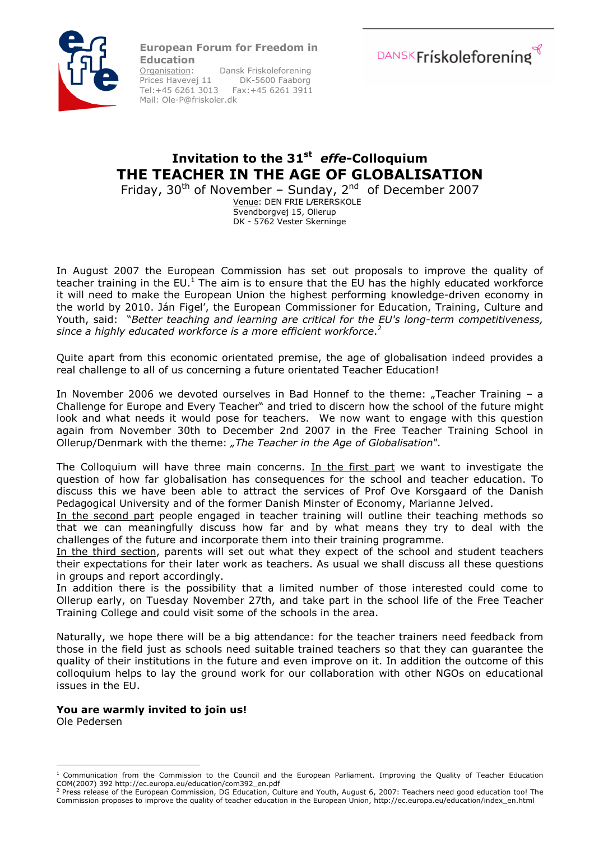European Forum for Freedom in



**Education**<br>Organisation: Dansk Friskoleforening<br>DK-5600 Faaborg Prices Havevej 11 Tel:+45 6261 3013 Fax:+45 6261 3911 Mail: Ole-P@friskoler.dk



## Invitation to the 31<sup>st</sup> effe-Colloquium THE TEACHER IN THE AGE OF GLOBALISATION

Friday,  $30^{th}$  of November – Sunday,  $2^{nd}$  of December 2007 Venue: DEN FRIE LÆRERSKOLE Svendborgvej 15, Ollerup DK - 5762 Vester Skerninge

In August 2007 the European Commission has set out proposals to improve the quality of teacher training in the EU.<sup>1</sup> The aim is to ensure that the EU has the highly educated workforce it will need to make the European Union the highest performing knowledge-driven economy in the world by 2010. Ján Figel', the European Commissioner for Education, Training, Culture and Youth, said: "Better teaching and learning are critical for the EU's long-term competitiveness, since a highly educated workforce is a more efficient workforce. $^2$ 

Quite apart from this economic orientated premise, the age of globalisation indeed provides a real challenge to all of us concerning a future orientated Teacher Education!

In November 2006 we devoted ourselves in Bad Honnef to the theme: "Teacher Training  $-$  a Challenge for Europe and Every Teacher" and tried to discern how the school of the future might look and what needs it would pose for teachers. We now want to engage with this question again from November 30th to December 2nd 2007 in the Free Teacher Training School in Ollerup/Denmark with the theme: "The Teacher in the Age of Globalisation".

The Colloquium will have three main concerns. In the first part we want to investigate the question of how far globalisation has consequences for the school and teacher education. To discuss this we have been able to attract the services of Prof Ove Korsgaard of the Danish Pedagogical University and of the former Danish Minster of Economy, Marianne Jelved.

In the second part people engaged in teacher training will outline their teaching methods so that we can meaningfully discuss how far and by what means they try to deal with the challenges of the future and incorporate them into their training programme.

In the third section, parents will set out what they expect of the school and student teachers their expectations for their later work as teachers. As usual we shall discuss all these questions in groups and report accordingly.

In addition there is the possibility that a limited number of those interested could come to Ollerup early, on Tuesday November 27th, and take part in the school life of the Free Teacher Training College and could visit some of the schools in the area.

Naturally, we hope there will be a big attendance: for the teacher trainers need feedback from those in the field just as schools need suitable trained teachers so that they can guarantee the quality of their institutions in the future and even improve on it. In addition the outcome of this colloquium helps to lay the ground work for our collaboration with other NGOs on educational issues in the EU.

#### You are warmly invited to join us!

Ole Pedersen

 $\overline{a}$  $1$  Communication from the Commission to the Council and the European Parliament. Improving the Quality of Teacher Education COM(2007) 392 http://ec.europa.eu/education/com392\_en.pdf

<sup>2</sup> Press release of the European Commission, DG Education, Culture and Youth, August 6, 2007: Teachers need good education too! The Commission proposes to improve the quality of teacher education in the European Union, http://ec.europa.eu/education/index\_en.html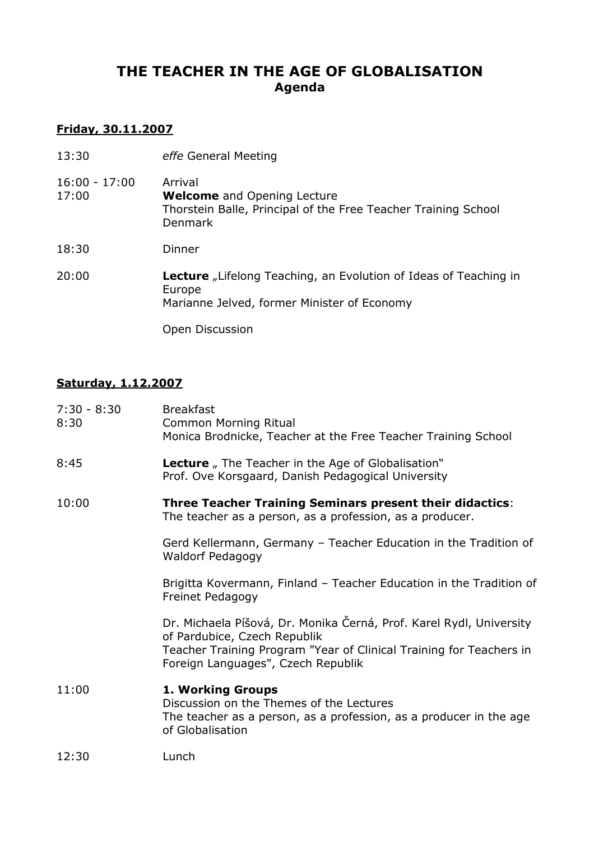# THE TEACHER IN THE AGE OF GLOBALISATION Agenda

## Friday, 30.11.2007

| 13:30                    | effe General Meeting                                                                                                              |
|--------------------------|-----------------------------------------------------------------------------------------------------------------------------------|
| $16:00 - 17:00$<br>17:00 | Arrival<br><b>Welcome</b> and Opening Lecture<br>Thorstein Balle, Principal of the Free Teacher Training School<br><b>Denmark</b> |
| 18:30                    | Dinner                                                                                                                            |
| 20:00                    | <b>Lecture</b> "Lifelong Teaching, an Evolution of Ideas of Teaching in<br>Europe<br>Marianne Jelved, former Minister of Economy  |
|                          | Open Discussion                                                                                                                   |

## Saturday, 1.12.2007

| $7:30 - 8:30$<br>8:30 | <b>Breakfast</b><br><b>Common Morning Ritual</b><br>Monica Brodnicke, Teacher at the Free Teacher Training School                                                                                                |
|-----------------------|------------------------------------------------------------------------------------------------------------------------------------------------------------------------------------------------------------------|
| 8:45                  | <b>Lecture</b> , The Teacher in the Age of Globalisation"<br>Prof. Ove Korsgaard, Danish Pedagogical University                                                                                                  |
| 10:00                 | <b>Three Teacher Training Seminars present their didactics:</b><br>The teacher as a person, as a profession, as a producer.                                                                                      |
|                       | Gerd Kellermann, Germany - Teacher Education in the Tradition of<br><b>Waldorf Pedagogy</b>                                                                                                                      |
|                       | Brigitta Kovermann, Finland - Teacher Education in the Tradition of<br>Freinet Pedagogy                                                                                                                          |
|                       | Dr. Michaela Píšová, Dr. Monika Černá, Prof. Karel Rydl, University<br>of Pardubice, Czech Republik<br>Teacher Training Program "Year of Clinical Training for Teachers in<br>Foreign Languages", Czech Republik |
| 11:00                 | 1. Working Groups<br>Discussion on the Themes of the Lectures<br>The teacher as a person, as a profession, as a producer in the age<br>of Globalisation                                                          |
| 12:30                 | Lunch                                                                                                                                                                                                            |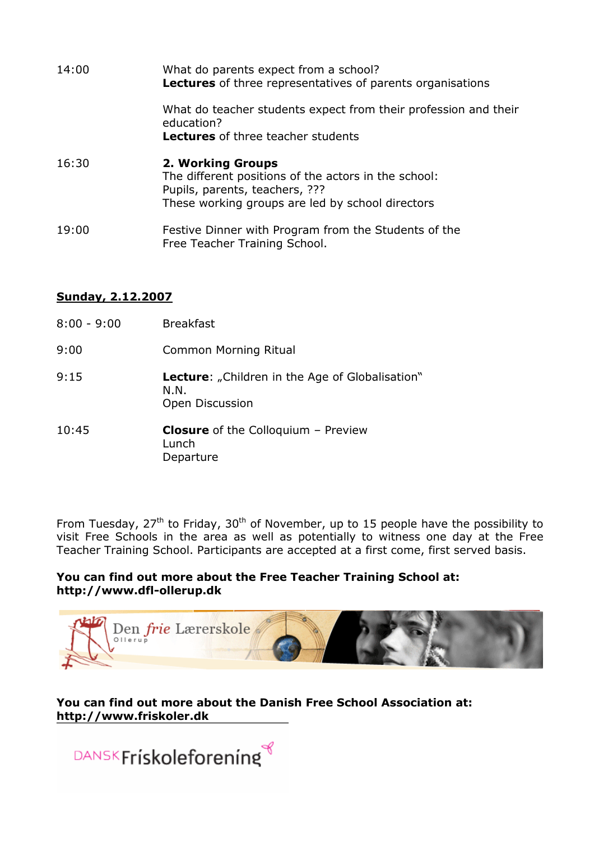| 14:00 | What do parents expect from a school?<br>Lectures of three representatives of parents organisations                                                                    |
|-------|------------------------------------------------------------------------------------------------------------------------------------------------------------------------|
|       | What do teacher students expect from their profession and their<br>education?<br><b>Lectures</b> of three teacher students                                             |
| 16:30 | <b>2. Working Groups</b><br>The different positions of the actors in the school:<br>Pupils, parents, teachers, ???<br>These working groups are led by school directors |
| 19:00 | Festive Dinner with Program from the Students of the<br>Free Teacher Training School.                                                                                  |

#### Sunday, 2.12.2007

| $8:00 - 9:00$ | <b>Breakfast</b>                                                                  |
|---------------|-----------------------------------------------------------------------------------|
| 9:00          | Common Morning Ritual                                                             |
| 9:15          | <b>Lecture:</b> "Children in the Age of Globalisation"<br>N.N.<br>Open Discussion |
| 10:45         | <b>Closure</b> of the Colloquium $-$ Preview<br>Lunch<br>Departure                |

From Tuesday, 27<sup>th</sup> to Friday, 30<sup>th</sup> of November, up to 15 people have the possibility to visit Free Schools in the area as well as potentially to witness one day at the Free Teacher Training School. Participants are accepted at a first come, first served basis.

#### You can find out more about the Free Teacher Training School at: http://www.dfl-ollerup.dk



### You can find out more about the Danish Free School Association at: http://www.friskoler.dk